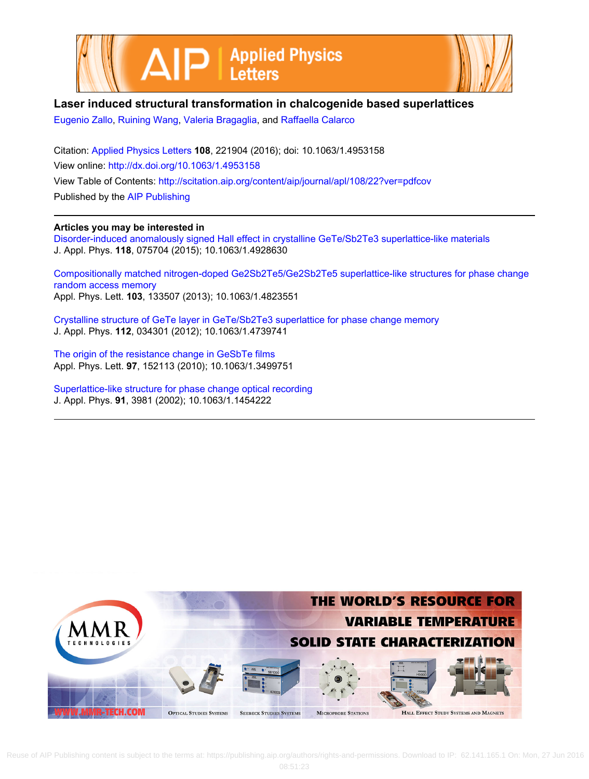



## **Laser induced structural transformation in chalcogenide based superlattices**

[Eugenio Zallo](http://scitation.aip.org/search?value1=Eugenio+Zallo&option1=author), [Ruining Wang](http://scitation.aip.org/search?value1=Ruining+Wang&option1=author), [Valeria Bragaglia](http://scitation.aip.org/search?value1=Valeria+Bragaglia&option1=author), and [Raffaella Calarco](http://scitation.aip.org/search?value1=Raffaella+Calarco&option1=author)

Citation: [Applied Physics Letters](http://scitation.aip.org/content/aip/journal/apl?ver=pdfcov) **108**, 221904 (2016); doi: 10.1063/1.4953158 View online: <http://dx.doi.org/10.1063/1.4953158> View Table of Contents: <http://scitation.aip.org/content/aip/journal/apl/108/22?ver=pdfcov> Published by the [AIP Publishing](http://scitation.aip.org/content/aip?ver=pdfcov)

## **Articles you may be interested in**

[Disorder-induced anomalously signed Hall effect in crystalline GeTe/Sb2Te3 superlattice-like materials](http://scitation.aip.org/content/aip/journal/jap/118/7/10.1063/1.4928630?ver=pdfcov) J. Appl. Phys. **118**, 075704 (2015); 10.1063/1.4928630

[Compositionally matched nitrogen-doped Ge2Sb2Te5/Ge2Sb2Te5 superlattice-like structures for phase change](http://scitation.aip.org/content/aip/journal/apl/103/13/10.1063/1.4823551?ver=pdfcov) [random access memory](http://scitation.aip.org/content/aip/journal/apl/103/13/10.1063/1.4823551?ver=pdfcov) Appl. Phys. Lett. **103**, 133507 (2013); 10.1063/1.4823551

[Crystalline structure of GeTe layer in GeTe/Sb2Te3 superlattice for phase change memory](http://scitation.aip.org/content/aip/journal/jap/112/3/10.1063/1.4739741?ver=pdfcov) J. Appl. Phys. **112**, 034301 (2012); 10.1063/1.4739741

[The origin of the resistance change in GeSbTe films](http://scitation.aip.org/content/aip/journal/apl/97/15/10.1063/1.3499751?ver=pdfcov) Appl. Phys. Lett. **97**, 152113 (2010); 10.1063/1.3499751

[Superlattice-like structure for phase change optical recording](http://scitation.aip.org/content/aip/journal/jap/91/7/10.1063/1.1454222?ver=pdfcov) J. Appl. Phys. **91**, 3981 (2002); 10.1063/1.1454222



Reuse of AIP Publishing content is subject to the terms at: https://publishing.aip.org/authors/rights-and-permissions. Download to IP: 62.141.165.1 On: Mon, 27 Jun 2016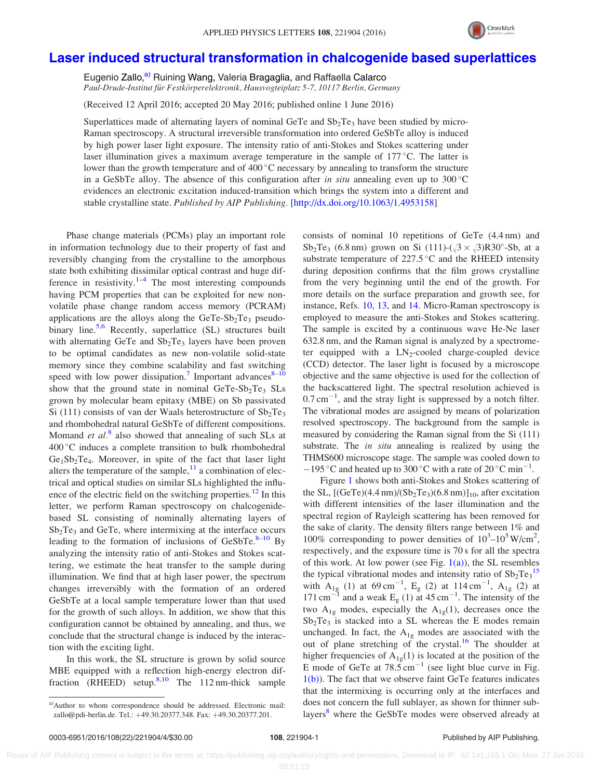

## [Laser induced structural transformation in chalcogenide based superlattices](http://dx.doi.org/10.1063/1.4953158)

Eugenio Zallo,<sup>a)</sup> Ruining Wang, Valeria Bragaglia, and Raffaella Calarco Paul-Drude-Institut für Festkörperelektronik, Hausvogteiplatz 5-7, 10117 Berlin, Germany

(Received 12 April 2016; accepted 20 May 2016; published online 1 June 2016)

Superlattices made of alternating layers of nominal GeTe and  $Sb<sub>2</sub>Te<sub>3</sub>$  have been studied by micro-Raman spectroscopy. A structural irreversible transformation into ordered GeSbTe alloy is induced by high power laser light exposure. The intensity ratio of anti-Stokes and Stokes scattering under laser illumination gives a maximum average temperature in the sample of  $177^{\circ}$ C. The latter is lower than the growth temperature and of  $400^{\circ}$ C necessary by annealing to transform the structure in a GeSbTe alloy. The absence of this configuration after in situ annealing even up to 300 °C evidences an electronic excitation induced-transition which brings the system into a different and stable crystalline state. Published by AIP Publishing. [\[http://dx.doi.org/10.1063/1.4953158](http://dx.doi.org/10.1063/1.4953158)]

Phase change materials (PCMs) play an important role in information technology due to their property of fast and reversibly changing from the crystalline to the amorphous state both exhibiting dissimilar optical contrast and huge dif-ference in resistivity.<sup>[1–4](#page-4-0)</sup> The most interesting compounds having PCM properties that can be exploited for new nonvolatile phase change random access memory (PCRAM) applications are the alloys along the  $GeTe-Sb<sub>2</sub>Te<sub>3</sub>$  pseudo-binary line.<sup>[5,6](#page-4-0)</sup> Recently, superlattice  $(SL)$  structures built with alternating GeTe and  $Sb<sub>2</sub>Te<sub>3</sub>$  layers have been proven to be optimal candidates as new non-volatile solid-state memory since they combine scalability and fast switching speed with low power dissipation.<sup>[7](#page-4-0)</sup> Important advances<sup>[8–10](#page-4-0)</sup> show that the ground state in nominal  $GeTe-Sb<sub>2</sub>Te<sub>3</sub>$  SLs grown by molecular beam epitaxy (MBE) on Sb passivated Si (111) consists of van der Waals heterostructure of  $Sb<sub>2</sub>Te<sub>3</sub>$ and rhombohedral natural GeSbTe of different compositions. Momand *et al.*<sup>[8](#page-4-0)</sup> also showed that annealing of such SLs at 400 °C induces a complete transition to bulk rhombohedral  $Ge<sub>1</sub>Sb<sub>2</sub>Te<sub>4</sub>$ . Moreover, in spite of the fact that laser light alters the temperature of the sample,  $\frac{11}{11}$  $\frac{11}{11}$  $\frac{11}{11}$  a combination of electrical and optical studies on similar SLs highlighted the influ-ence of the electric field on the switching properties.<sup>[12](#page-4-0)</sup> In this letter, we perform Raman spectroscopy on chalcogenidebased SL consisting of nominally alternating layers of  $Sb<sub>2</sub>Te<sub>3</sub>$  and GeTe, where intermixing at the interface occurs leading to the formation of inclusions of GeSbTe. $8-10$  By analyzing the intensity ratio of anti-Stokes and Stokes scattering, we estimate the heat transfer to the sample during illumination. We find that at high laser power, the spectrum changes irreversibly with the formation of an ordered GeSbTe at a local sample temperature lower than that used for the growth of such alloys. In addition, we show that this configuration cannot be obtained by annealing, and thus, we conclude that the structural change is induced by the interaction with the exciting light.

In this work, the SL structure is grown by solid source MBE equipped with a reflection high-energy electron diffraction (RHEED) setup. $8,10$  $8,10$  The 112 nm-thick sample consists of nominal 10 repetitions of GeTe (4.4 nm) and  $Sb_2Te_3$  (6.8 nm) grown on Si (111)-( $\sqrt{3} \times \sqrt{3}$ )R30°-Sb, at a substrate temperature of  $227.5^{\circ}$ C and the RHEED intensity during deposition confirms that the film grows crystalline from the very beginning until the end of the growth. For more details on the surface preparation and growth see, for instance, Refs. [10,](#page-4-0) [13](#page-4-0), and [14.](#page-4-0) Micro-Raman spectroscopy is employed to measure the anti-Stokes and Stokes scattering. The sample is excited by a continuous wave He-Ne laser 632.8 nm, and the Raman signal is analyzed by a spectrometer equipped with a  $LN_2$ -cooled charge-coupled device (CCD) detector. The laser light is focused by a microscope objective and the same objective is used for the collection of the backscattered light. The spectral resolution achieved is  $0.7 \text{ cm}^{-1}$ , and the stray light is suppressed by a notch filter. The vibrational modes are assigned by means of polarization resolved spectroscopy. The background from the sample is measured by considering the Raman signal from the Si (111) substrate. The *in situ* annealing is realized by using the THMS600 microscope stage. The sample was cooled down to  $-195$  °C and heated up to 300 °C with a rate of 20 °C min<sup>-1</sup>.

Figure [1](#page-2-0) shows both anti-Stokes and Stokes scattering of the SL,  $[(GeTe)(4.4 \text{ nm})/(Sb_2Te_3)(6.8 \text{ nm})]_{10}$ , after excitation with different intensities of the laser illumination and the spectral region of Rayleigh scattering has been removed for the sake of clarity. The density filters range between 1% and 100% corresponding to power densities of  $10^3 - 10^5$  W/cm<sup>2</sup>, respectively, and the exposure time is 70 s for all the spectra of this work. At low power (see Fig.  $1(a)$ ), the SL resembles the typical vibrational modes and intensity ratio of  $Sb_2Te_3$ <sup>[15](#page-4-0)</sup> with  $A_{1g}$  (1) at 69 cm<sup>-1</sup>, E<sub>g</sub> (2) at 114 cm<sup>-1</sup>, A<sub>1g</sub> (2) at 171 cm<sup>-1</sup> and a weak  $E<sub>g</sub>$  (1) at 45 cm<sup>-1</sup>. The intensity of the two  $A_{1g}$  modes, especially the  $A_{1g}(1)$ , decreases once the  $Sb<sub>2</sub>Te<sub>3</sub>$  is stacked into a SL whereas the E modes remain unchanged. In fact, the  $A_{1g}$  modes are associated with the out of plane stretching of the crystal.<sup>[16](#page-4-0)</sup> The shoulder at higher frequencies of  $A_{1g}(1)$  is located at the position of the E mode of GeTe at  $78.5 \text{ cm}^{-1}$  (see light blue curve in Fig. [1\(b\)\)](#page-2-0). The fact that we observe faint GeTe features indicates that the intermixing is occurring only at the interfaces and does not concern the full sublayer, as shown for thinner sub-layers<sup>[8](#page-4-0)</sup> where the GeSbTe modes were observed already at

a)Author to whom correspondence should be addressed. Electronic mail: [zallo@pdi-berlin.de.](mailto:zallo@pdi-berlin.de) Tel.: +49.30.20377.348. Fax: +49.30.20377.201.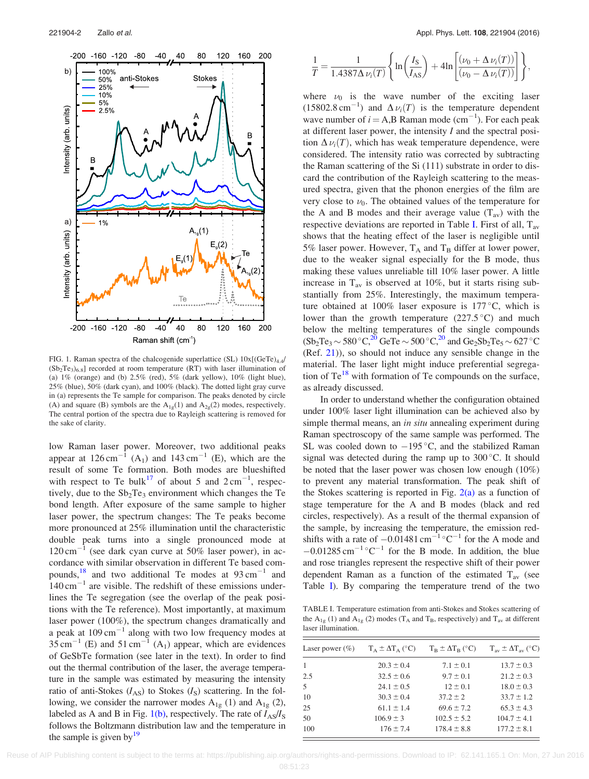<span id="page-2-0"></span>

FIG. 1. Raman spectra of the chalcogenide superlattice (SL)  $10x[(GeTe)<sub>4.4</sub>/$  $(Sb<sub>2</sub>Te<sub>3</sub>)<sub>6.8</sub>$ ] recorded at room temperature (RT) with laser illumination of (a) 1% (orange) and (b) 2.5% (red), 5% (dark yellow), 10% (light blue), 25% (blue), 50% (dark cyan), and 100% (black). The dotted light gray curve in (a) represents the Te sample for comparison. The peaks denoted by circle (A) and square (B) symbols are the  $A_{1g}(1)$  and  $A_{2g}(2)$  modes, respectively. The central portion of the spectra due to Rayleigh scattering is removed for the sake of clarity.

low Raman laser power. Moreover, two additional peaks appear at  $126 \text{ cm}^{-1}$  (A<sub>1</sub>) and  $143 \text{ cm}^{-1}$  (E), which are the result of some Te formation. Both modes are blueshifted with respect to Te bulk<sup>[17](#page-4-0)</sup> of about 5 and  $2 \text{ cm}^{-1}$ , respectively, due to the  $Sb<sub>2</sub>Te<sub>3</sub>$  environment which changes the Te bond length. After exposure of the same sample to higher laser power, the spectrum changes: The Te peaks become more pronounced at 25% illumination until the characteristic double peak turns into a single pronounced mode at  $120 \text{ cm}^{-1}$  (see dark cyan curve at 50% laser power), in accordance with similar observation in different Te based compounds,  $18$  and two additional Te modes at 93 cm<sup>-1</sup> and  $140 \text{ cm}^{-1}$  are visible. The redshift of these emissions underlines the Te segregation (see the overlap of the peak positions with the Te reference). Most importantly, at maximum laser power (100%), the spectrum changes dramatically and a peak at  $109 \text{ cm}^{-1}$  along with two low frequency modes at  $35 \text{ cm}^{-1}$  (E) and  $51 \text{ cm}^{-1}$  (A<sub>1</sub>) appear, which are evidences of GeSbTe formation (see later in the text). In order to find out the thermal contribution of the laser, the average temperature in the sample was estimated by measuring the intensity ratio of anti-Stokes  $(I_{AS})$  to Stokes  $(I_S)$  scattering. In the following, we consider the narrower modes  $A_{1g}$  (1) and  $A_{1g}$  (2), labeled as A and B in Fig. 1(b), respectively. The rate of  $I_{AS}/I_{S}$ follows the Boltzmann distribution law and the temperature in the sample is given by  $19$ 

$$
\frac{1}{T} = \frac{1}{1.4387\Delta \nu_i(T)} \left\{ \ln \left( \frac{I_S}{I_{AS}} \right) + 4\ln \left[ \frac{(\nu_0 + \Delta \nu_i(T))}{(\nu_0 - \Delta \nu_i(T))} \right] \right\},\,
$$

where  $\nu_0$  is the wave number of the exciting laser  $(15802.8 \text{ cm}^{-1})$  and  $\Delta v_i(T)$  is the temperature dependent wave number of  $i = A$ ,B Raman mode (cm<sup>-1</sup>). For each peak at different laser power, the intensity  $I$  and the spectral position  $\Delta \nu_i(T)$ , which has weak temperature dependence, were considered. The intensity ratio was corrected by subtracting the Raman scattering of the Si (111) substrate in order to discard the contribution of the Rayleigh scattering to the measured spectra, given that the phonon energies of the film are very close to  $\nu_0$ . The obtained values of the temperature for the A and B modes and their average value  $(T_{av})$  with the respective deviations are reported in Table I. First of all,  $T_{av}$ shows that the heating effect of the laser is negligible until 5% laser power. However,  $T_A$  and  $T_B$  differ at lower power, due to the weaker signal especially for the B mode, thus making these values unreliable till 10% laser power. A little increase in  $T_{av}$  is observed at 10%, but it starts rising substantially from 25%. Interestingly, the maximum temperature obtained at 100% laser exposure is  $177^{\circ}$ C, which is lower than the growth temperature  $(227.5\degree C)$  and much below the melting temperatures of the single compounds  $(Sb_2Te_3 \sim 580 \degree C,^{20} GeTe \sim 500 \degree C,^{20}$  $(Sb_2Te_3 \sim 580 \degree C,^{20} GeTe \sim 500 \degree C,^{20}$  $(Sb_2Te_3 \sim 580 \degree C,^{20} GeTe \sim 500 \degree C,^{20}$  and  $Ge_2Sb_2Te_5 \sim 627 \degree C$ (Ref. [21\)](#page-4-0)), so should not induce any sensible change in the material. The laser light might induce preferential segregation of  $Te^{18}$  $Te^{18}$  $Te^{18}$  with formation of Te compounds on the surface, as already discussed.

In order to understand whether the configuration obtained under 100% laser light illumination can be achieved also by simple thermal means, an *in situ* annealing experiment during Raman spectroscopy of the same sample was performed. The SL was cooled down to  $-195^{\circ}$ C, and the stabilized Raman signal was detected during the ramp up to  $300^{\circ}$ C. It should be noted that the laser power was chosen low enough (10%) to prevent any material transformation. The peak shift of the Stokes scattering is reported in Fig.  $2(a)$  as a function of stage temperature for the A and B modes (black and red circles, respectively). As a result of the thermal expansion of the sample, by increasing the temperature, the emission redshifts with a rate of  $-0.01481 \text{ cm}^{-1}$ °C<sup>-1</sup> for the A mode and  $-0.01285$  cm<sup>-1</sup> °C<sup>-1</sup> for the B mode. In addition, the blue and rose triangles represent the respective shift of their power dependent Raman as a function of the estimated  $T_{av}$  (see Table I). By comparing the temperature trend of the two

TABLE I. Temperature estimation from anti-Stokes and Stokes scattering of the  $A_{1g}$  (1) and  $A_{1g}$  (2) modes (T<sub>A</sub> and T<sub>B</sub>, respectively) and T<sub>av</sub> at different laser illumination.

| Laser power $(\% )$ | $T_A \pm \Delta T_A$ (°C) | $T_B \pm \Delta T_B$ (°C) | $T_{\rm av} \pm \Delta T_{\rm av}$ (°C) |
|---------------------|---------------------------|---------------------------|-----------------------------------------|
|                     | $20.3 \pm 0.4$            | $7.1 \pm 0.1$             | $13.7 \pm 0.3$                          |
| 2.5                 | $32.5 \pm 0.6$            | $9.7 \pm 0.1$             | $21.2 \pm 0.3$                          |
| 5                   | $24.1 \pm 0.5$            | $12 \pm 0.1$              | $18.0 \pm 0.3$                          |
| 10                  | $30.3 \pm 0.4$            | $37.2 \pm 2$              | $33.7 \pm 1.2$                          |
| 25                  | $61.1 \pm 1.4$            | $69.6 \pm 7.2$            | $65.3 \pm 4.3$                          |
| 50                  | $106.9 \pm 3$             | $102.5 \pm 5.2$           | $104.7 \pm 4.1$                         |
| 100                 | $176 \pm 7.4$             | $178.4 \pm 8.8$           | $177.2 \pm 8.1$                         |
|                     |                           |                           |                                         |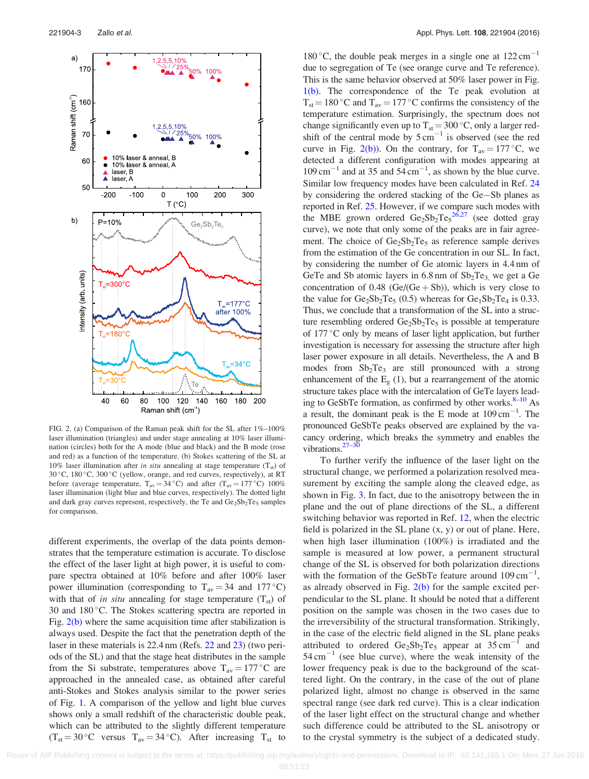<span id="page-3-0"></span>

FIG. 2. (a) Comparison of the Raman peak shift for the SL after 1%–100% laser illumination (triangles) and under stage annealing at 10% laser illumination (circles) both for the A mode (blue and black) and the B mode (rose and red) as a function of the temperature. (b) Stokes scattering of the SL at 10% laser illumination after in situ annealing at stage temperature  $(T_{st})$  of 30 °C, 180 °C, 300 °C (yellow, orange, and red curves, respectively), at RT before (average temperature,  $T_{av} = 34 \degree C$ ) and after ( $T_{av} = 177 \degree C$ ) 100% laser illumination (light blue and blue curves, respectively). The dotted light and dark gray curves represent, respectively, the Te and  $Ge_2Sb_2Te_5$  samples for comparison.

different experiments, the overlap of the data points demonstrates that the temperature estimation is accurate. To disclose the effect of the laser light at high power, it is useful to compare spectra obtained at 10% before and after 100% laser power illumination (corresponding to  $T_{av} = 34$  and 177 °C) with that of in situ annealing for stage temperature  $(T_{st})$  of 30 and 180 °C. The Stokes scattering spectra are reported in Fig.  $2(b)$  where the same acquisition time after stabilization is always used. Despite the fact that the penetration depth of the laser in these materials is 22.4 nm (Refs. [22](#page-4-0) and [23](#page-4-0)) (two periods of the SL) and that the stage heat distributes in the sample from the Si substrate, temperatures above  $T_{av} = 177 \degree C$  are approached in the annealed case, as obtained after careful anti-Stokes and Stokes analysis similar to the power series of Fig. [1.](#page-2-0) A comparison of the yellow and light blue curves shows only a small redshift of the characteristic double peak, which can be attributed to the slightly different temperature  $(T_{st} = 30\degree C$  versus  $T_{av} = 34\degree C$ . After increasing  $T_{st}$  to

180 °C, the double peak merges in a single one at  $122 \text{ cm}^{-1}$ due to segregation of Te (see orange curve and Te reference). This is the same behavior observed at 50% laser power in Fig. [1\(b\)](#page-2-0). The correspondence of the Te peak evolution at  $T_{\text{st}} = 180 \degree C$  and  $T_{\text{av}} = 177 \degree C$  confirms the consistency of the temperature estimation. Surprisingly, the spectrum does not change significantly even up to  $T_{st} = 300 \degree C$ , only a larger redshift of the central mode by  $5 \text{ cm}^{-1}$  is observed (see the red curve in Fig. 2(b)). On the contrary, for  $T_{av} = 177 \degree C$ , we detected a different configuration with modes appearing at  $109 \text{ cm}^{-1}$  and at 35 and  $54 \text{ cm}^{-1}$ , as shown by the blue curve. Similar low frequency modes have been calculated in Ref. [24](#page-4-0) by considering the ordered stacking of the Ge-Sb planes as reported in Ref. [25](#page-4-0). However, if we compare such modes with the MBE grown ordered  $Ge_2Sb_2Te_5^2$  (see dotted gray curve), we note that only some of the peaks are in fair agreement. The choice of  $Ge_2Sb_2Te_5$  as reference sample derives from the estimation of the Ge concentration in our SL. In fact, by considering the number of Ge atomic layers in 4.4 nm of GeTe and Sb atomic layers in  $6.8 \text{ nm}$  of  $Sb_2Te_3$ , we get a Ge concentration of 0.48 (Ge/(Ge + Sb)), which is very close to the value for  $Ge_2Sb_2Te_5$  (0.5) whereas for  $Ge_1Sb_2Te_4$  is 0.33. Thus, we conclude that a transformation of the SL into a structure resembling ordered  $Ge_2Sb_2Te_5$  is possible at temperature of 177 °C only by means of laser light application, but further investigation is necessary for assessing the structure after high laser power exposure in all details. Nevertheless, the A and B modes from  $Sb<sub>2</sub>Te<sub>3</sub>$  are still pronounced with a strong enhancement of the  $E<sub>g</sub>$  (1), but a rearrangement of the atomic structure takes place with the intercalation of GeTe layers leading to GeSbTe formation, as confirmed by other works. $8-10$  As a result, the dominant peak is the E mode at  $109 \text{ cm}^{-1}$ . The pronounced GeSbTe peaks observed are explained by the vacancy ordering, which breaks the symmetry and enables the vibrations. $27-30$  $27-30$ 

To further verify the influence of the laser light on the structural change, we performed a polarization resolved measurement by exciting the sample along the cleaved edge, as shown in Fig. [3.](#page-4-0) In fact, due to the anisotropy between the in plane and the out of plane directions of the SL, a different switching behavior was reported in Ref. [12,](#page-4-0) when the electric field is polarized in the SL plane (x, y) or out of plane. Here, when high laser illumination (100%) is irradiated and the sample is measured at low power, a permanent structural change of the SL is observed for both polarization directions with the formation of the GeSbTe feature around  $109 \text{ cm}^{-1}$ , as already observed in Fig.  $2(b)$  for the sample excited perpendicular to the SL plane. It should be noted that a different position on the sample was chosen in the two cases due to the irreversibility of the structural transformation. Strikingly, in the case of the electric field aligned in the SL plane peaks attributed to ordered  $Ge_2Sb_2Te_5$  appear at 35 cm<sup>-1</sup> and  $54 \text{ cm}^{-1}$  (see blue curve), where the weak intensity of the lower frequency peak is due to the background of the scattered light. On the contrary, in the case of the out of plane polarized light, almost no change is observed in the same spectral range (see dark red curve). This is a clear indication of the laser light effect on the structural change and whether such difference could be attributed to the SL anisotropy or to the crystal symmetry is the subject of a dedicated study.